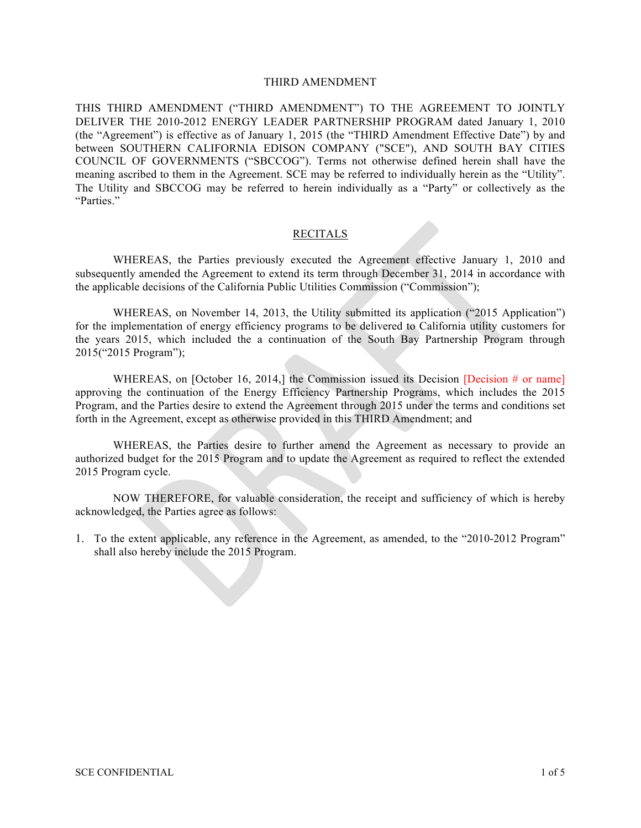### THIRD AMENDMENT

THIS THIRD AMENDMENT ("THIRD AMENDMENT") TO THE AGREEMENT TO JOINTLY DELIVER THE 2010-2012 ENERGY LEADER PARTNERSHIP PROGRAM dated January 1, 2010 (the "Agreement") is effective as of January 1, 2015 (the "THIRD Amendment Effective Date") by and between SOUTHERN CALIFORNIA EDISON COMPANY ("SCE"), AND SOUTH BAY CITIES COUNCIL OF GOVERNMENTS ("SBCCOG"). Terms not otherwise defined herein shall have the meaning ascribed to them in the Agreement. SCE may be referred to individually herein as the "Utility". The Utility and SBCCOG may be referred to herein individually as a "Party" or collectively as the "Parties."

#### RECITALS

WHEREAS, the Parties previously executed the Agreement effective January 1, 2010 and subsequently amended the Agreement to extend its term through December 31, 2014 in accordance with the applicable decisions of the California Public Utilities Commission ("Commission");

WHEREAS, on November 14, 2013, the Utility submitted its application ("2015 Application") for the implementation of energy efficiency programs to be delivered to California utility customers for the years 2015, which included the a continuation of the South Bay Partnership Program through 2015("2015 Program");

WHEREAS, on [October 16, 2014,] the Commission issued its Decision [Decision  $#$  or name] approving the continuation of the Energy Efficiency Partnership Programs, which includes the 2015 Program, and the Parties desire to extend the Agreement through 2015 under the terms and conditions set forth in the Agreement, except as otherwise provided in this THIRD Amendment; and

WHEREAS, the Parties desire to further amend the Agreement as necessary to provide an authorized budget for the 2015 Program and to update the Agreement as required to reflect the extended 2015 Program cycle.

NOW THEREFORE, for valuable consideration, the receipt and sufficiency of which is hereby acknowledged, the Parties agree as follows:

1. To the extent applicable, any reference in the Agreement, as amended, to the "2010-2012 Program" shall also hereby include the 2015 Program.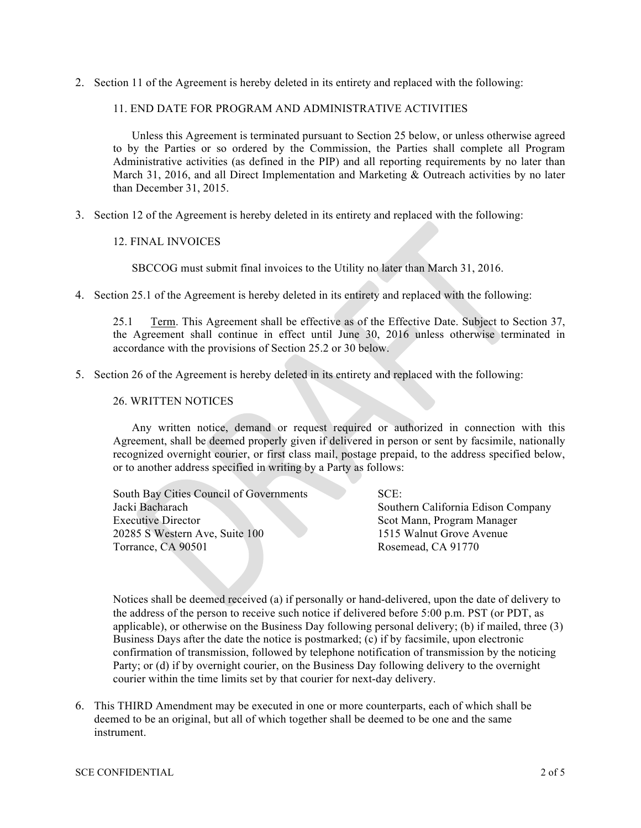2. Section 11 of the Agreement is hereby deleted in its entirety and replaced with the following:

### 11. END DATE FOR PROGRAM AND ADMINISTRATIVE ACTIVITIES

Unless this Agreement is terminated pursuant to Section 25 below, or unless otherwise agreed to by the Parties or so ordered by the Commission, the Parties shall complete all Program Administrative activities (as defined in the PIP) and all reporting requirements by no later than March 31, 2016, and all Direct Implementation and Marketing & Outreach activities by no later than December 31, 2015.

3. Section 12 of the Agreement is hereby deleted in its entirety and replaced with the following:

### 12. FINAL INVOICES

SBCCOG must submit final invoices to the Utility no later than March 31, 2016.

4. Section 25.1 of the Agreement is hereby deleted in its entirety and replaced with the following:

25.1 Term. This Agreement shall be effective as of the Effective Date. Subject to Section 37, the Agreement shall continue in effect until June 30, 2016 unless otherwise terminated in accordance with the provisions of Section 25.2 or 30 below.

5. Section 26 of the Agreement is hereby deleted in its entirety and replaced with the following:

#### 26. WRITTEN NOTICES

Any written notice, demand or request required or authorized in connection with this Agreement, shall be deemed properly given if delivered in person or sent by facsimile, nationally recognized overnight courier, or first class mail, postage prepaid, to the address specified below, or to another address specified in writing by a Party as follows:

South Bay Cities Council of Governments Jacki Bacharach Executive Director 20285 S Western Ave, Suite 100 Torrance, CA 90501

SCE:

Southern California Edison Company Scot Mann, Program Manager 1515 Walnut Grove Avenue Rosemead, CA 91770

Notices shall be deemed received (a) if personally or hand-delivered, upon the date of delivery to the address of the person to receive such notice if delivered before 5:00 p.m. PST (or PDT, as applicable), or otherwise on the Business Day following personal delivery; (b) if mailed, three (3) Business Days after the date the notice is postmarked;  $(c)$  if by facsimile, upon electronic confirmation of transmission, followed by telephone notification of transmission by the noticing Party; or (d) if by overnight courier, on the Business Day following delivery to the overnight courier within the time limits set by that courier for next-day delivery.

6. This THIRD Amendment may be executed in one or more counterparts, each of which shall be deemed to be an original, but all of which together shall be deemed to be one and the same instrument.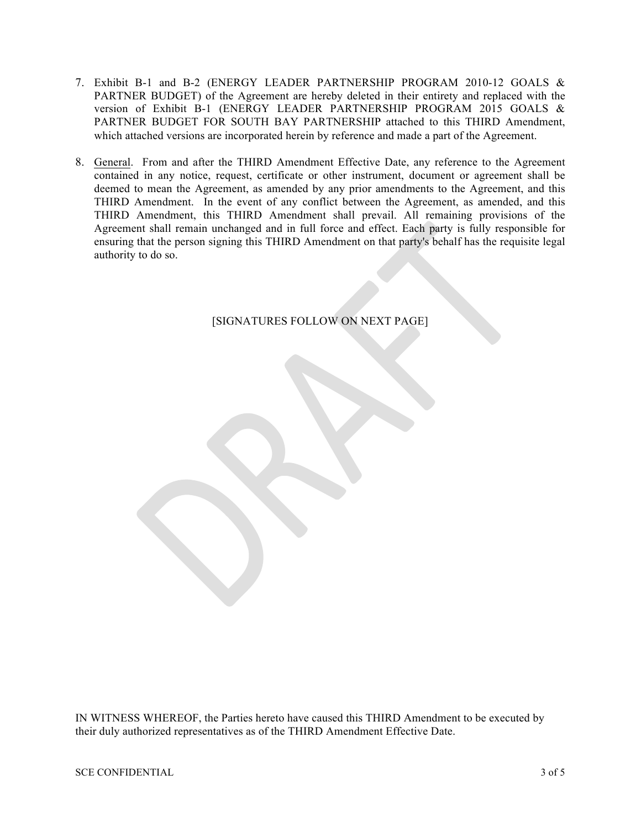- 7. Exhibit B-1 and B-2 (ENERGY LEADER PARTNERSHIP PROGRAM 2010-12 GOALS & PARTNER BUDGET) of the Agreement are hereby deleted in their entirety and replaced with the version of Exhibit B-1 (ENERGY LEADER PARTNERSHIP PROGRAM 2015 GOALS & PARTNER BUDGET FOR SOUTH BAY PARTNERSHIP attached to this THIRD Amendment, which attached versions are incorporated herein by reference and made a part of the Agreement.
- 8. General. From and after the THIRD Amendment Effective Date, any reference to the Agreement contained in any notice, request, certificate or other instrument, document or agreement shall be deemed to mean the Agreement, as amended by any prior amendments to the Agreement, and this THIRD Amendment. In the event of any conflict between the Agreement, as amended, and this THIRD Amendment, this THIRD Amendment shall prevail. All remaining provisions of the Agreement shall remain unchanged and in full force and effect. Each party is fully responsible for ensuring that the person signing this THIRD Amendment on that party's behalf has the requisite legal authority to do so.

[SIGNATURES FOLLOW ON NEXT PAGE]

IN WITNESS WHEREOF, the Parties hereto have caused this THIRD Amendment to be executed by their duly authorized representatives as of the THIRD Amendment Effective Date.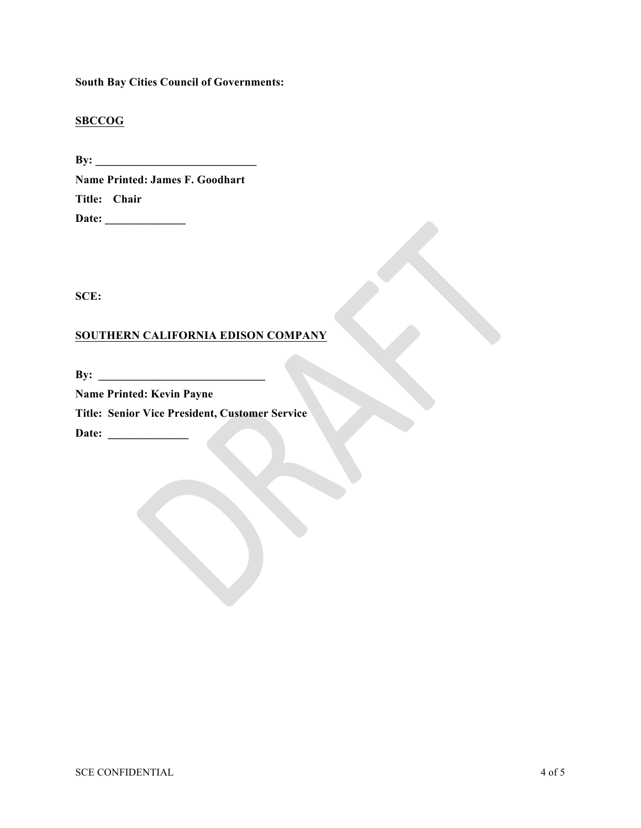**South Bay Cities Council of Governments:**

## **SBCCOG**

**By: \_\_\_\_\_\_\_\_\_\_\_\_\_\_\_\_\_\_\_\_\_\_\_\_\_\_\_\_ Name Printed: James F. Goodhart Title: Chair Date: \_\_\_\_\_\_\_\_\_\_\_\_\_\_**

**SCE:**

# **SOUTHERN CALIFORNIA EDISON COMPANY**

**By: \_\_\_\_\_\_\_\_\_\_\_\_\_\_\_\_\_\_\_\_\_\_\_\_\_\_\_\_\_**

**Name Printed: Kevin Payne Title: Senior Vice President, Customer Service Date: \_\_\_\_\_\_\_\_\_\_\_\_\_\_**